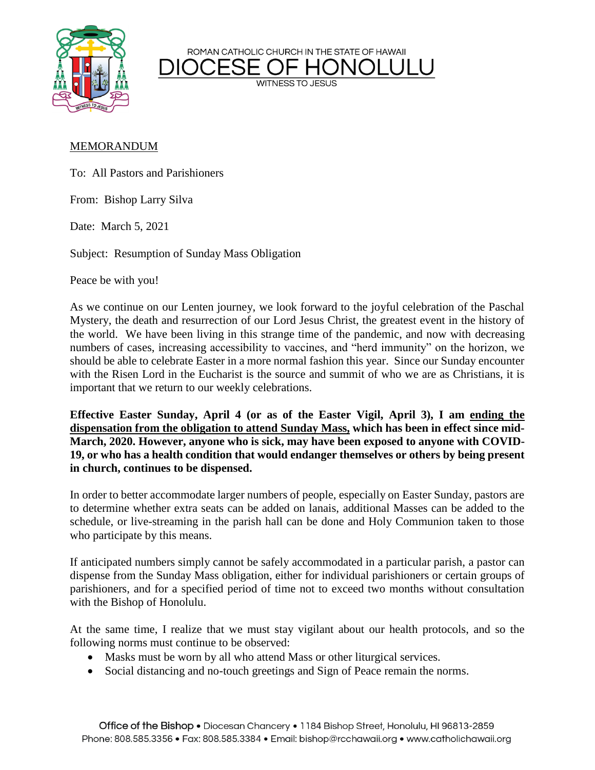ROMAN CATHOLIC CHURCH IN THE STATE OF HAWAII



**WITNESS TO JESUS** 

## MEMORANDUM

To: All Pastors and Parishioners

From: Bishop Larry Silva

Date: March 5, 2021

Subject: Resumption of Sunday Mass Obligation

Peace be with you!

As we continue on our Lenten journey, we look forward to the joyful celebration of the Paschal Mystery, the death and resurrection of our Lord Jesus Christ, the greatest event in the history of the world. We have been living in this strange time of the pandemic, and now with decreasing numbers of cases, increasing accessibility to vaccines, and "herd immunity" on the horizon, we should be able to celebrate Easter in a more normal fashion this year. Since our Sunday encounter with the Risen Lord in the Eucharist is the source and summit of who we are as Christians, it is important that we return to our weekly celebrations.

**Effective Easter Sunday, April 4 (or as of the Easter Vigil, April 3), I am ending the dispensation from the obligation to attend Sunday Mass, which has been in effect since mid-March, 2020. However, anyone who is sick, may have been exposed to anyone with COVID-19, or who has a health condition that would endanger themselves or others by being present in church, continues to be dispensed.**

In order to better accommodate larger numbers of people, especially on Easter Sunday, pastors are to determine whether extra seats can be added on lanais, additional Masses can be added to the schedule, or live-streaming in the parish hall can be done and Holy Communion taken to those who participate by this means.

If anticipated numbers simply cannot be safely accommodated in a particular parish, a pastor can dispense from the Sunday Mass obligation, either for individual parishioners or certain groups of parishioners, and for a specified period of time not to exceed two months without consultation with the Bishop of Honolulu.

At the same time, I realize that we must stay vigilant about our health protocols, and so the following norms must continue to be observed:

- Masks must be worn by all who attend Mass or other liturgical services.
- Social distancing and no-touch greetings and Sign of Peace remain the norms.